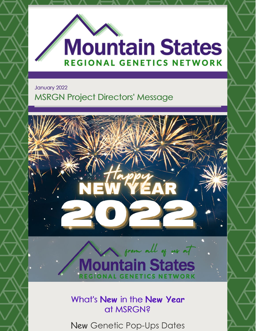

January 2022

### MSRGN Project Directors' Message



## from all of us at **Mountain States JONAL GENETICS NETWORK**

What's **New** in the **New Year** at MSRGN?

New Genetic Pop-Ups Dates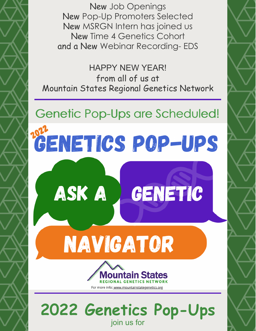New Job Openings New Pop-Up Promoters Selected New MSRGN Intern has joined us New Time 4 Genetics Cohort and a New Webinar Recording- EDS

HAPPY NEW YEAR! from all of us at Mountain States Regional Genetics Network

# Genetic Pop-Ups are Scheduled!

# **GENETICS POP-UPS**



tain States **ONAL GENETICS NETWORK** For more info: www.mountainstategenetics.org

**2022 Genetics Pop-Ups** join us for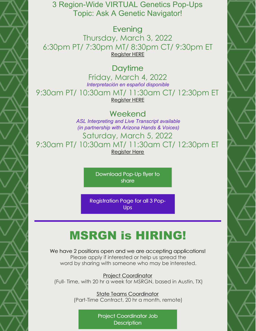3 Region-Wide VIRTUAL Genetics Pop-Ups Topic: Ask A Genetic Navigator!

**Evening** 

Thursday, March 3, 2022 6:30pm PT/ 7:30pm MT/ 8:30pm CT/ 9:30pm ET [Register](https://us02web.zoom.us/meeting/register/tZUtc-mtrzIvHNI7lLGjDdTQA6f6ghkyCxNi) HERE

#### Daytime

Friday, March 4, 2022 *Interpretación en español disponible* 9:30am PT/ 10:30am MT/ 11:30am CT/ 12:30pm ET [Register](https://us02web.zoom.us/meeting/register/tZMtfuGsqj0sGNPh4ZmWcQGiiXv5ZZaOIVSg) HERE

Weekend

*ASL Interpreting and Live Transcript available (in partnership with Arizona Hands & Voices)* Saturday, March 5, 2022 9:30am PT/ 10:30am MT/ 11:30am CT/ 12:30pm ET [Register](https://us02web.zoom.us/meeting/register/tZUldOmgrjktGNCeExj21X2MSrbbk0K__1TP) Here

> [Download](https://www.mountainstatesgenetics.org/wp-content/uploads/sites/257/2022/01/Genetics-Pop-Up-2022-FLYER.pdf) Pop-Up flyer to share

[Registration](https://www.mountainstatesgenetics.org/2022popup/) Page for all 3 Pop-Ups

# MSRGN is HIRING!

We have 2 positions open and we are accepting applications! Please apply if interested or help us spread the word by sharing with someone who may be interested.

Project [Coordinator](https://www.mountainstatesgenetics.org/job-opening-projects-coordinator/) (Full- Time, with 20 hr a week for MSRGN, based in Austin, TX)

> State Teams [Coordinator](https://www.mountainstatesgenetics.org/job-opening-state-team-coordinator/) (Part-Time Contract, 20 hr a month, remote)

> > Project [Coordinator](https://www.mountainstatesgenetics.org/job-opening-projects-coordinator/) Job **Description**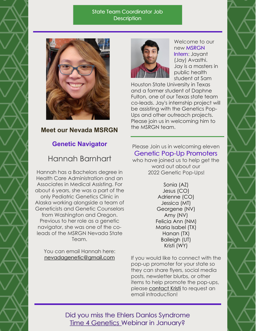#### State Team [Coordinator](https://www.mountainstatesgenetics.org/job-opening-state-team-coordinator/) Job **Description**



#### **Meet our Nevada MSRGN**

#### **Genetic Navigator**

#### Hannah Barnhart

Hannah has a Bachelors degree in Health Care Administration and an Associates in Medical Assisting. For about 6 years, she was a part of the only Pediatric Genetics Clinic in Alaska working alongside a team of Geneticists and Genetic Counselors from Washington and Oregon. Previous to her role as a genetic navigator, she was one of the coleads of the MSRGN Nevada State Team.

You can email Hannah here: [nevadagenetic@gmail.com](mailto:nevadagenetic@gmail.com)



Welcome to our new MSRGN Intern: Jayant (Jay) Avasthi. Jay is a masters in public health student at Sam

Houston State University in Texas and a former student of Daphne Fulton, one of our Texas state team co-leads. Jay's internship project will be assisting with the Genetics Pop-Ups and other outreach projects. Please join us in welcoming him to the MSRGN team.

#### Please Join us in welcoming eleven Genetic Pop-Up Promoters

who have joined us to help get the word out about our 2022 Genetic Pop-Ups!

> Sonia (AZ) Jesus (CO) Adrienne (CO) Jessica (MT) Georgene (NV) Amy (NV) Felicia Ann (NM) Maria Isabel (TX) Hanan (TX) Baileigh (UT) Kristi (WY)

If you would like to connect with the pop-up promoter for your state so they can share flyers, social media posts, newsletter blurbs, or other items to help promote the pop-ups, please [contact](mailto:kwees@mountainstatesgenetics.org) Kristi to request an email introduction!

Did you miss the Ehlers Danlos Syndrome Time 4 [Genetics](https://www.mountainstatesgenetics.org/t4info/) Webinar in January?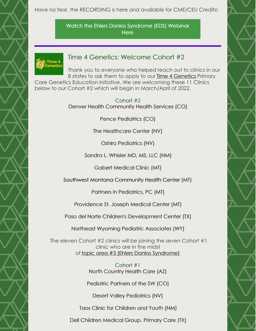Have no fear, the RECORDING is here and available for CME/CEU Credits!

Watch the Ehlers Danlos [Syndrome](https://www.mountainstatesgenetics.org/t4gedswebinar/) (EDS) Webinar **Here** 



#### Time 4 Genetics: Welcome Cohort #2

Thank you to everyone who helped reach out to clinics in our 8 states to ask them to apply to our Time 4 [Genetics](https://www.mountainstatesgenetics.org/t4info/) Primary Care Genetics Education Initiative. We are welcoming these 11 Clinics below to our Cohort #2 which will begin in March/April of 2022.

> Cohort #2 Denver Health Community Health Services (CO)

> > Pence Pediatrics (CO)

The Healthcare Center (NV)

Oshiro Pediatrics (NV)

Sandra L. Whisler MD, MS, LLC (NM)

Gabert Medical Clinic (MT)

Southwest Montana Community Health Center (MT)

Partners in Pediatrics, PC (MT)

Providence St. Joseph Medical Center (MT)

Paso del Norte Children's Development Center (TX)

Northeast Wyoming Pediatric Associates (WY)

The eleven Cohort #2 clinics will be joining the seven Cohort #1 clinic who are in the midst of topic area #3 (Ehlers Danlos [Syndrome\)](https://www.mountainstatesgenetics.org/t4glibrary/):

> Cohort #1 North Country Health Care (AZ)

Pediatric Partners of the SW (CO)

Desert Valley Pediatrics (NV)

Taos Clinic for Children and Youth (NM)

Dell Children Medical Group. Primary Care (TX)